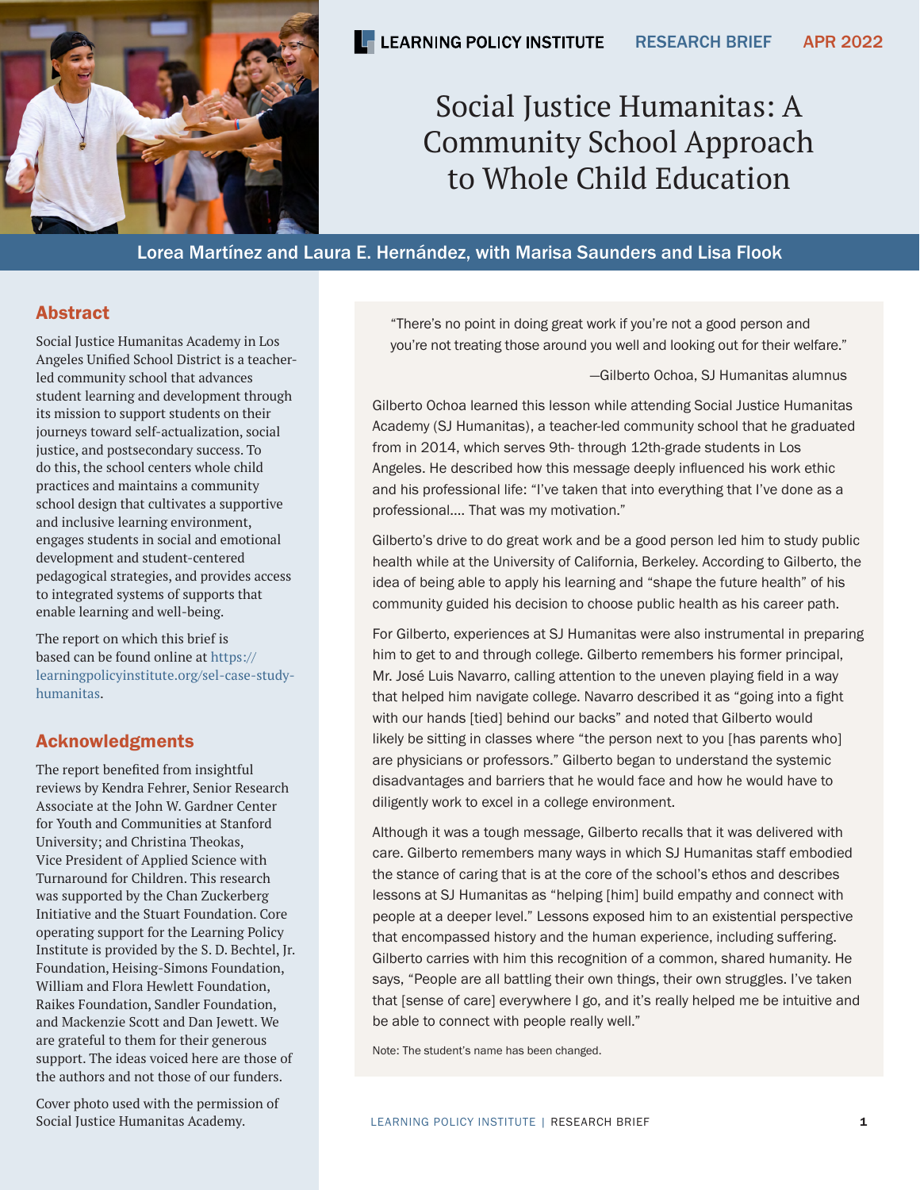

# Social Justice Humanitas: A Community School Approach to Whole Child Education

Lorea Martínez and Laura E. Hernández, with Marisa Saunders and Lisa Flook

### Abstract

Social Justice Humanitas Academy in Los Angeles Unified School District is a teacherled community school that advances student learning and development through its mission to support students on their journeys toward self-actualization, social justice, and postsecondary success. To do this, the school centers whole child practices and maintains a community school design that cultivates a supportive and inclusive learning environment, engages students in social and emotional development and student-centered pedagogical strategies, and provides access to integrated systems of supports that enable learning and well-being.

The report on which this brief is based can be found online at [https://](https://learningpolicyinstitute.org/sel-case-study-humanitas) [learningpolicyinstitute.org/sel-case-study](https://learningpolicyinstitute.org/sel-case-study-humanitas)[humanitas.](https://learningpolicyinstitute.org/sel-case-study-humanitas)

# Acknowledgments

The report benefited from insightful reviews by Kendra Fehrer, Senior Research Associate at the John W. Gardner Center for Youth and Communities at Stanford University; and Christina Theokas, Vice President of Applied Science with Turnaround for Children. This research was supported by the Chan Zuckerberg Initiative and the Stuart Foundation. Core operating support for the Learning Policy Institute is provided by the S. D. Bechtel, Jr. Foundation, Heising-Simons Foundation, William and Flora Hewlett Foundation, Raikes Foundation, Sandler Foundation, and Mackenzie Scott and Dan Jewett. We are grateful to them for their generous support. The ideas voiced here are those of the authors and not those of our funders.

Cover photo used with the permission of Social Justice Humanitas Academy.

"There's no point in doing great work if you're not a good person and you're not treating those around you well and looking out for their welfare."

—Gilberto Ochoa, SJ Humanitas alumnus

Gilberto Ochoa learned this lesson while attending Social Justice Humanitas Academy (SJ Humanitas), a teacher-led community school that he graduated from in 2014, which serves 9th- through 12th-grade students in Los Angeles. He described how this message deeply influenced his work ethic and his professional life: "I've taken that into everything that I've done as a professional.… That was my motivation."

Gilberto's drive to do great work and be a good person led him to study public health while at the University of California, Berkeley. According to Gilberto, the idea of being able to apply his learning and "shape the future health" of his community guided his decision to choose public health as his career path.

For Gilberto, experiences at SJ Humanitas were also instrumental in preparing him to get to and through college. Gilberto remembers his former principal, Mr. José Luis Navarro, calling attention to the uneven playing field in a way that helped him navigate college. Navarro described it as "going into a fight with our hands [tied] behind our backs" and noted that Gilberto would likely be sitting in classes where "the person next to you [has parents who] are physicians or professors." Gilberto began to understand the systemic disadvantages and barriers that he would face and how he would have to diligently work to excel in a college environment.

Although it was a tough message, Gilberto recalls that it was delivered with care. Gilberto remembers many ways in which SJ Humanitas staff embodied the stance of caring that is at the core of the school's ethos and describes lessons at SJ Humanitas as "helping [him] build empathy and connect with people at a deeper level." Lessons exposed him to an existential perspective that encompassed history and the human experience, including suffering. Gilberto carries with him this recognition of a common, shared humanity. He says, "People are all battling their own things, their own struggles. I've taken that [sense of care] everywhere I go, and it's really helped me be intuitive and be able to connect with people really well."

Note: The student's name has been changed.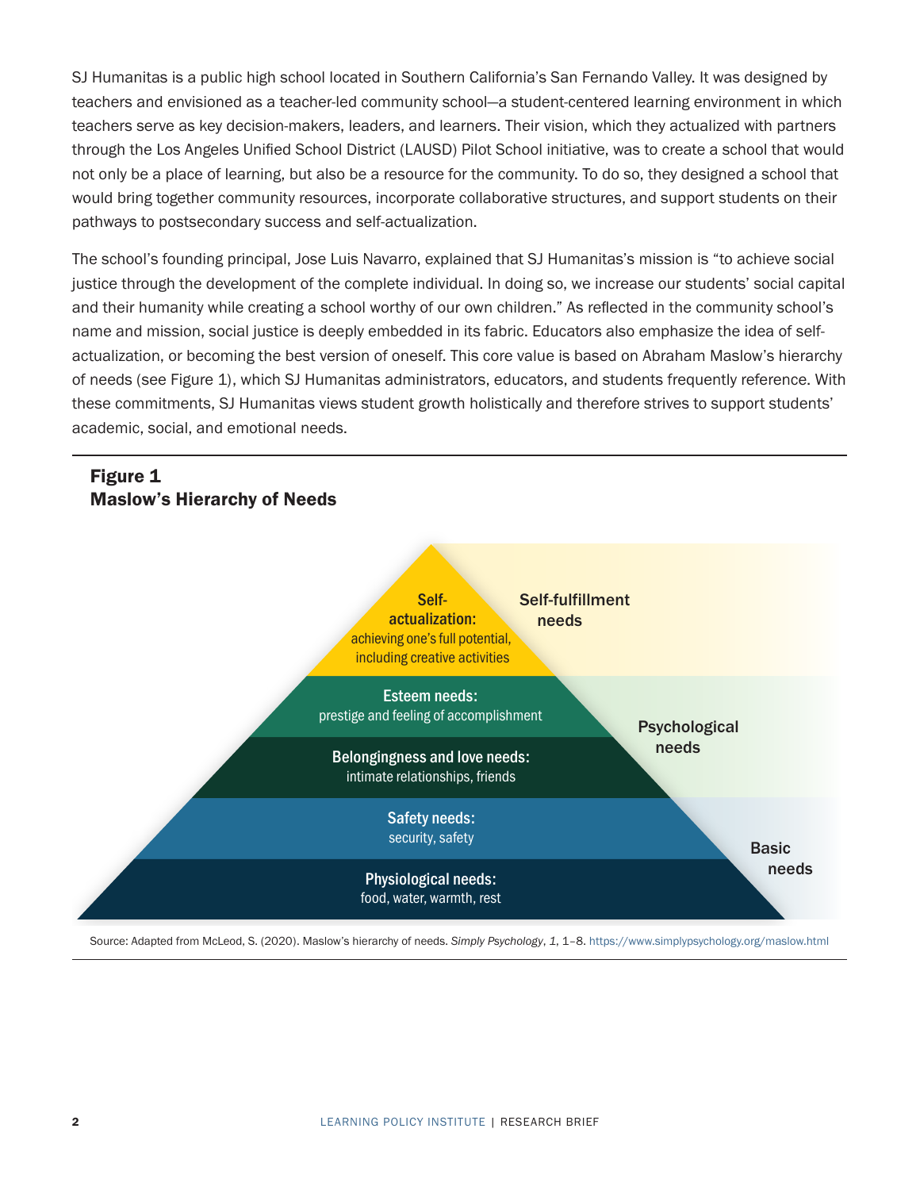SJ Humanitas is a public high school located in Southern California's San Fernando Valley. It was designed by teachers and envisioned as a teacher-led community school—a student-centered learning environment in which teachers serve as key decision-makers, leaders, and learners. Their vision, which they actualized with partners through the Los Angeles Unified School District (LAUSD) Pilot School initiative, was to create a school that would not only be a place of learning, but also be a resource for the community. To do so, they designed a school that would bring together community resources, incorporate collaborative structures, and support students on their pathways to postsecondary success and self-actualization.

The school's founding principal, Jose Luis Navarro, explained that SJ Humanitas's mission is "to achieve social justice through the development of the complete individual. In doing so, we increase our students' social capital and their humanity while creating a school worthy of our own children." As reflected in the community school's name and mission, social justice is deeply embedded in its fabric. Educators also emphasize the idea of selfactualization, or becoming the best version of oneself. This core value is based on Abraham Maslow's hierarchy of needs (see Figure 1), which SJ Humanitas administrators, educators, and students frequently reference. With these commitments, SJ Humanitas views student growth holistically and therefore strives to support students' academic, social, and emotional needs.



Source: Adapted from McLeod, S. (2020). Maslow's hierarchy of needs. Simply Psychology, 1, 1-8.<https://www.simplypsychology.org/maslow.html>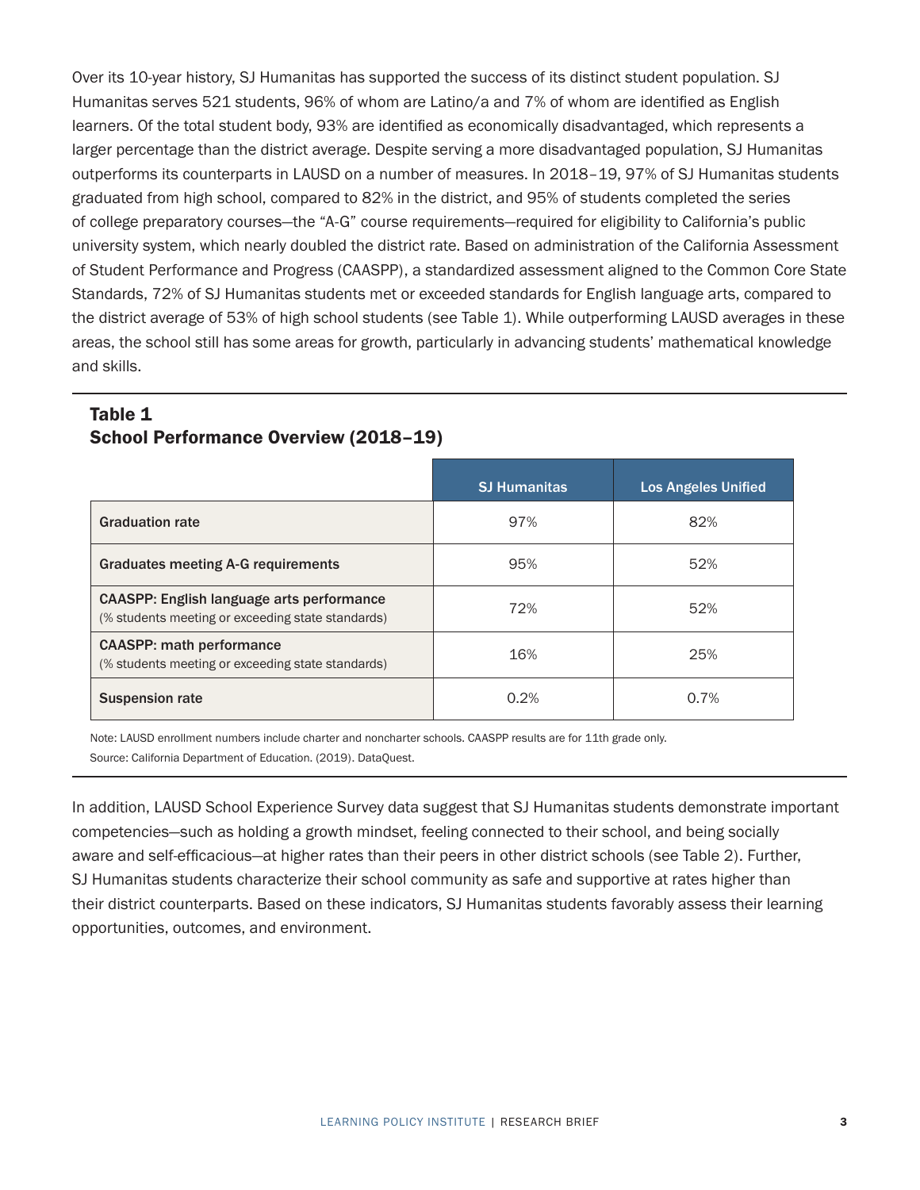Over its 10-year history, SJ Humanitas has supported the success of its distinct student population. SJ Humanitas serves 521 students, 96% of whom are Latino/a and 7% of whom are identified as English learners. Of the total student body, 93% are identified as economically disadvantaged, which represents a larger percentage than the district average. Despite serving a more disadvantaged population, SJ Humanitas outperforms its counterparts in LAUSD on a number of measures. In 2018–19, 97% of SJ Humanitas students graduated from high school, compared to 82% in the district, and 95% of students completed the series of college preparatory courses—the "A-G" course requirements—required for eligibility to California's public university system, which nearly doubled the district rate. Based on administration of the California Assessment of Student Performance and Progress (CAASPP), a standardized assessment aligned to the Common Core State Standards, 72% of SJ Humanitas students met or exceeded standards for English language arts, compared to the district average of 53% of high school students (see Table 1). While outperforming LAUSD averages in these areas, the school still has some areas for growth, particularly in advancing students' mathematical knowledge and skills.

#### Table 1 School Performance Overview (2018–19)

|                                                                                                       | <b>SJ Humanitas</b> | <b>Los Angeles Unified</b> |
|-------------------------------------------------------------------------------------------------------|---------------------|----------------------------|
| <b>Graduation rate</b>                                                                                | 97%                 | 82%                        |
| <b>Graduates meeting A-G requirements</b>                                                             | 95%                 | 52%                        |
| <b>CAASPP: English language arts performance</b><br>(% students meeting or exceeding state standards) | 72%                 | 52%                        |
| <b>CAASPP: math performance</b><br>(% students meeting or exceeding state standards)                  | 16%                 | 25%                        |
| <b>Suspension rate</b>                                                                                | 0.2%                | 0.7%                       |

Note: LAUSD enrollment numbers include charter and noncharter schools. CAASPP results are for 11th grade only. Source: California Department of Education. (2019). DataQuest.

In addition, LAUSD School Experience Survey data suggest that SJ Humanitas students demonstrate important competencies—such as holding a growth mindset, feeling connected to their school, and being socially aware and self-efficacious—at higher rates than their peers in other district schools (see Table 2). Further, SJ Humanitas students characterize their school community as safe and supportive at rates higher than their district counterparts. Based on these indicators, SJ Humanitas students favorably assess their learning opportunities, outcomes, and environment.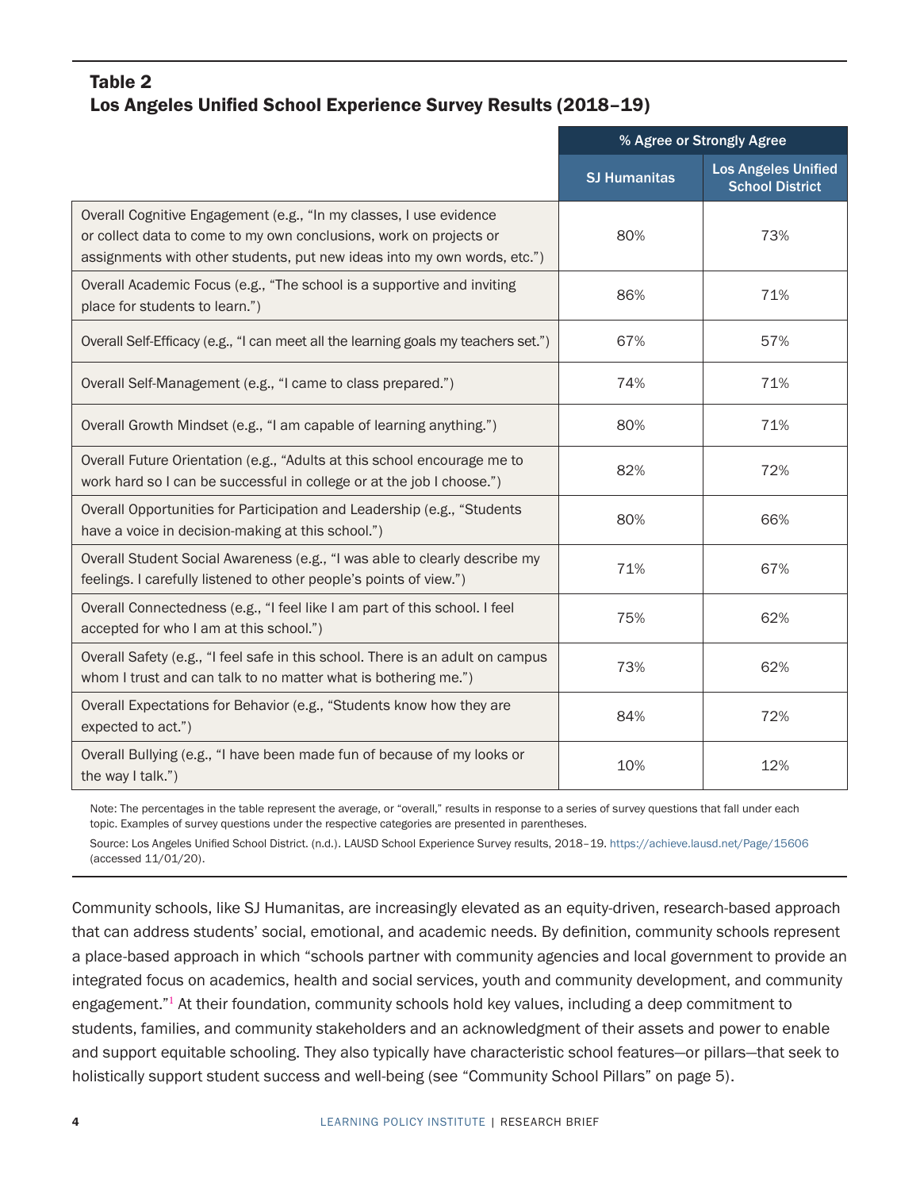### <span id="page-3-0"></span>Table 2 Los Angeles Unified School Experience Survey Results (2018–19)

|                                                                                                                                                                                                                      | % Agree or Strongly Agree |                                                      |
|----------------------------------------------------------------------------------------------------------------------------------------------------------------------------------------------------------------------|---------------------------|------------------------------------------------------|
|                                                                                                                                                                                                                      | <b>SJ Humanitas</b>       | <b>Los Angeles Unified</b><br><b>School District</b> |
| Overall Cognitive Engagement (e.g., "In my classes, I use evidence<br>or collect data to come to my own conclusions, work on projects or<br>assignments with other students, put new ideas into my own words, etc.") | 80%                       | 73%                                                  |
| Overall Academic Focus (e.g., "The school is a supportive and inviting<br>place for students to learn.")                                                                                                             | 86%                       | 71%                                                  |
| Overall Self-Efficacy (e.g., "I can meet all the learning goals my teachers set.")                                                                                                                                   | 67%                       | 57%                                                  |
| Overall Self-Management (e.g., "I came to class prepared.")                                                                                                                                                          | 74%                       | 71%                                                  |
| Overall Growth Mindset (e.g., "I am capable of learning anything.")                                                                                                                                                  | 80%                       | 71%                                                  |
| Overall Future Orientation (e.g., "Adults at this school encourage me to<br>work hard so I can be successful in college or at the job I choose.")                                                                    | 82%                       | 72%                                                  |
| Overall Opportunities for Participation and Leadership (e.g., "Students<br>have a voice in decision-making at this school.")                                                                                         | 80%                       | 66%                                                  |
| Overall Student Social Awareness (e.g., "I was able to clearly describe my<br>feelings. I carefully listened to other people's points of view.")                                                                     | 71%                       | 67%                                                  |
| Overall Connectedness (e.g., "I feel like I am part of this school. I feel<br>accepted for who I am at this school.")                                                                                                | 75%                       | 62%                                                  |
| Overall Safety (e.g., "I feel safe in this school. There is an adult on campus<br>whom I trust and can talk to no matter what is bothering me.")                                                                     | 73%                       | 62%                                                  |
| Overall Expectations for Behavior (e.g., "Students know how they are<br>expected to act.")                                                                                                                           | 84%                       | 72%                                                  |
| Overall Bullying (e.g., "I have been made fun of because of my looks or<br>the way I talk.")                                                                                                                         | 10%                       | 12%                                                  |

Note: The percentages in the table represent the average, or "overall," results in response to a series of survey questions that fall under each topic. Examples of survey questions under the respective categories are presented in parentheses.

Source: Los Angeles Unified School District. (n.d.). LAUSD School Experience Survey results, 2018–19. <https://achieve.lausd.net/Page/15606> (accessed 11/01/20).

Community schools, like SJ Humanitas, are increasingly elevated as an equity-driven, research-based approach that can address students' social, emotional, and academic needs. By definition, community schools represent a place-based approach in which "schools partner with community agencies and local government to provide an integrated focus on academics, health and social services, youth and community development, and community engagement."<sup>[1](#page-12-0)</sup> At their foundation, community schools hold key values, including a deep commitment to students, families, and community stakeholders and an acknowledgment of their assets and power to enable and support equitable schooling. They also typically have characteristic school features—or pillars—that seek to holistically support student success and well-being (see ["Community School Pillars" on page 5\)](#page-4-0).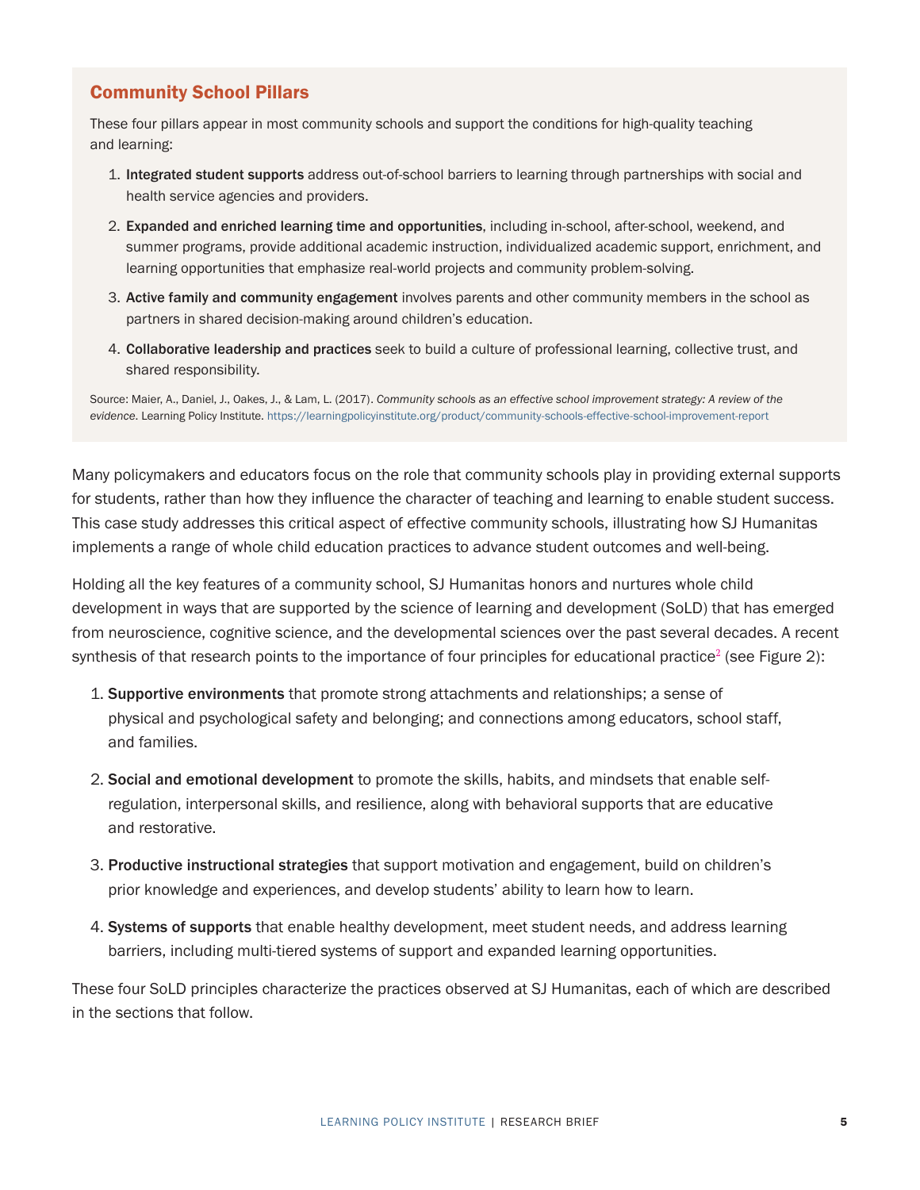### <span id="page-4-1"></span><span id="page-4-0"></span>Community School Pillars

These four pillars appear in most community schools and support the conditions for high-quality teaching and learning:

- 1. Integrated student supports address out-of-school barriers to learning through partnerships with social and health service agencies and providers.
- 2. Expanded and enriched learning time and opportunities, including in-school, after-school, weekend, and summer programs, provide additional academic instruction, individualized academic support, enrichment, and learning opportunities that emphasize real-world projects and community problem-solving.
- 3. Active family and community engagement involves parents and other community members in the school as partners in shared decision-making around children's education.
- 4. Collaborative leadership and practices seek to build a culture of professional learning, collective trust, and shared responsibility.

Source: Maier, A., Daniel, J., Oakes, J., & Lam, L. (2017). *Community schools as an effective school improvement strategy: A review of the evidence*. Learning Policy Institute. <https://learningpolicyinstitute.org/product/community-schools-effective-school-improvement-report>

Many policymakers and educators focus on the role that community schools play in providing external supports for students, rather than how they influence the character of teaching and learning to enable student success. This case study addresses this critical aspect of effective community schools, illustrating how SJ Humanitas implements a range of whole child education practices to advance student outcomes and well-being.

Holding all the key features of a community school, SJ Humanitas honors and nurtures whole child development in ways that are supported by the science of learning and development (SoLD) that has emerged from neuroscience, cognitive science, and the developmental sciences over the past several decades. A recent synthesis of that research points to the importance of four principles for educational practice<sup>[2](#page-12-0)</sup> (see Figure 2):

- 1. Supportive environments that promote strong attachments and relationships; a sense of physical and psychological safety and belonging; and connections among educators, school staff, and families.
- 2. Social and emotional development to promote the skills, habits, and mindsets that enable selfregulation, interpersonal skills, and resilience, along with behavioral supports that are educative and restorative.
- 3. Productive instructional strategies that support motivation and engagement, build on children's prior knowledge and experiences, and develop students' ability to learn how to learn.
- 4. Systems of supports that enable healthy development, meet student needs, and address learning barriers, including multi-tiered systems of support and expanded learning opportunities.

These four SoLD principles characterize the practices observed at SJ Humanitas, each of which are described in the sections that follow.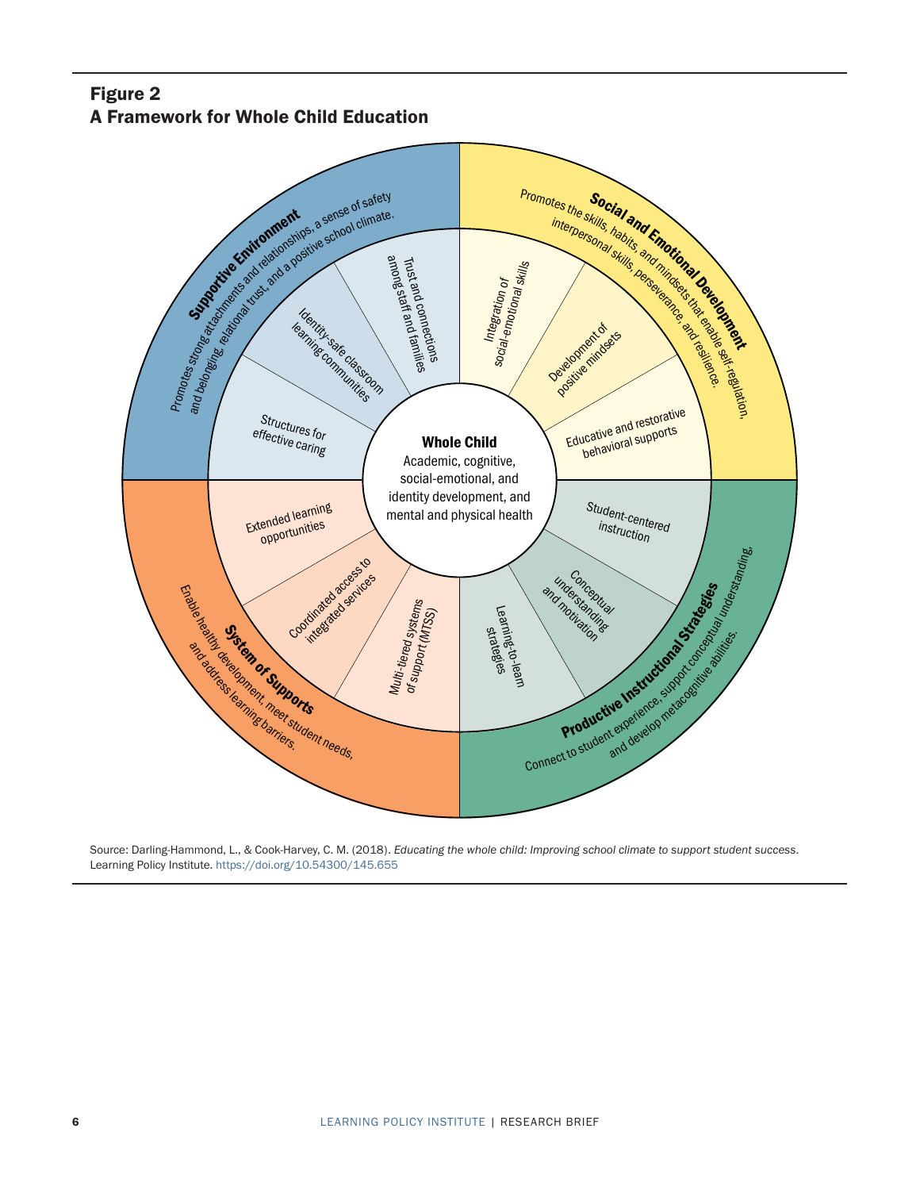## Figure 2 A Framework for Whole Child Education



Source: Darling-Hammond, L., & Cook-Harvey, C. M. (2018). *Educating the whole child: Improving school climate to support student success*. Learning Policy Institute. <https://doi.org/10.54300/145.655>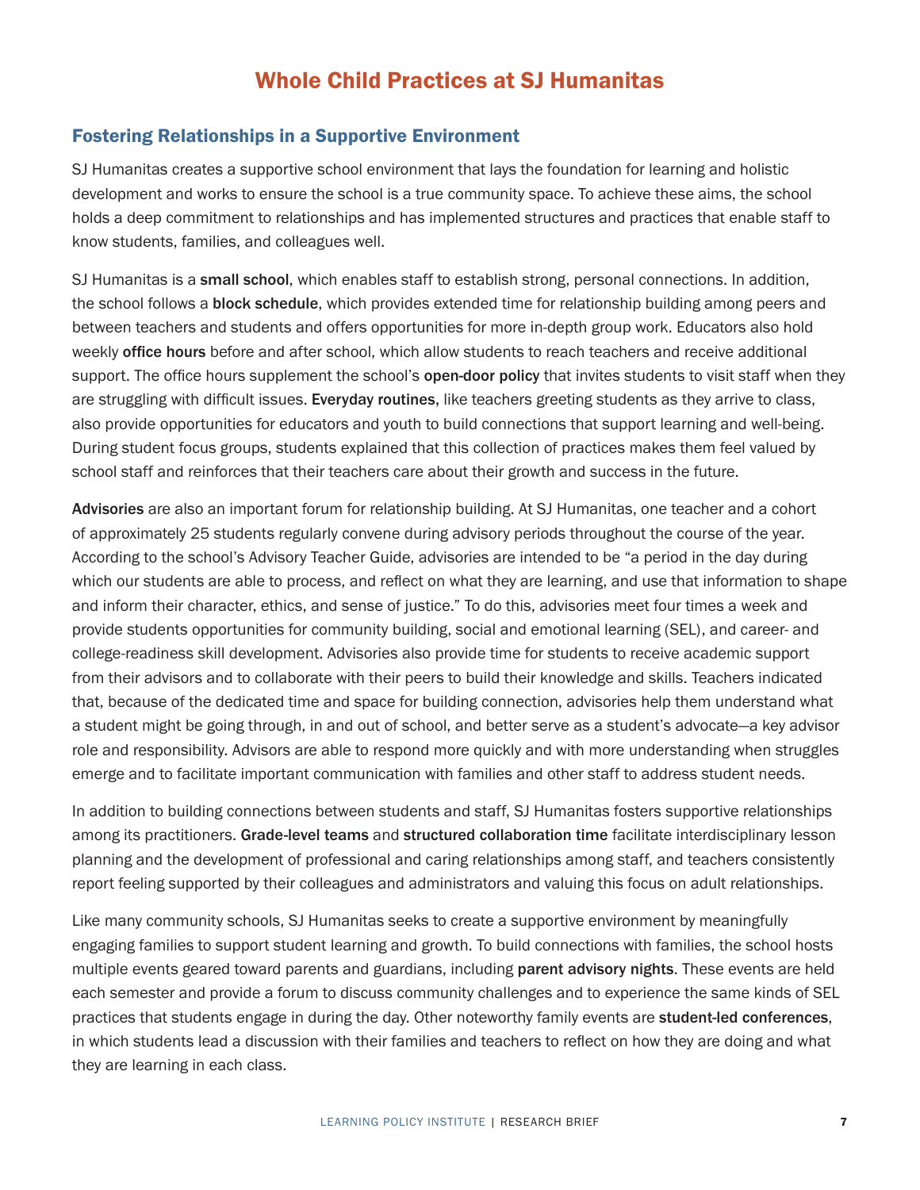# Whole Child Practices at SJ Humanitas

#### Fostering Relationships in a Supportive Environment

SJ Humanitas creates a supportive school environment that lays the foundation for learning and holistic development and works to ensure the school is a true community space. To achieve these aims, the school holds a deep commitment to relationships and has implemented structures and practices that enable staff to know students, families, and colleagues well.

SJ Humanitas is a small school, which enables staff to establish strong, personal connections. In addition, the school follows a **block schedule**, which provides extended time for relationship building among peers and between teachers and students and offers opportunities for more in-depth group work. Educators also hold weekly office hours before and after school, which allow students to reach teachers and receive additional support. The office hours supplement the school's open-door policy that invites students to visit staff when they are struggling with difficult issues. Everyday routines, like teachers greeting students as they arrive to class, also provide opportunities for educators and youth to build connections that support learning and well-being. During student focus groups, students explained that this collection of practices makes them feel valued by school staff and reinforces that their teachers care about their growth and success in the future.

Advisories are also an important forum for relationship building. At SJ Humanitas, one teacher and a cohort of approximately 25 students regularly convene during advisory periods throughout the course of the year. According to the school's Advisory Teacher Guide, advisories are intended to be "a period in the day during which our students are able to process, and reflect on what they are learning, and use that information to shape and inform their character, ethics, and sense of justice." To do this, advisories meet four times a week and provide students opportunities for community building, social and emotional learning (SEL), and career- and college-readiness skill development. Advisories also provide time for students to receive academic support from their advisors and to collaborate with their peers to build their knowledge and skills. Teachers indicated that, because of the dedicated time and space for building connection, advisories help them understand what a student might be going through, in and out of school, and better serve as a student's advocate—a key advisor role and responsibility. Advisors are able to respond more quickly and with more understanding when struggles emerge and to facilitate important communication with families and other staff to address student needs.

In addition to building connections between students and staff, SJ Humanitas fosters supportive relationships among its practitioners. Grade-level teams and structured collaboration time facilitate interdisciplinary lesson planning and the development of professional and caring relationships among staff, and teachers consistently report feeling supported by their colleagues and administrators and valuing this focus on adult relationships.

Like many community schools, SJ Humanitas seeks to create a supportive environment by meaningfully engaging families to support student learning and growth. To build connections with families, the school hosts multiple events geared toward parents and guardians, including parent advisory nights. These events are held each semester and provide a forum to discuss community challenges and to experience the same kinds of SEL practices that students engage in during the day. Other noteworthy family events are student-led conferences, in which students lead a discussion with their families and teachers to reflect on how they are doing and what they are learning in each class.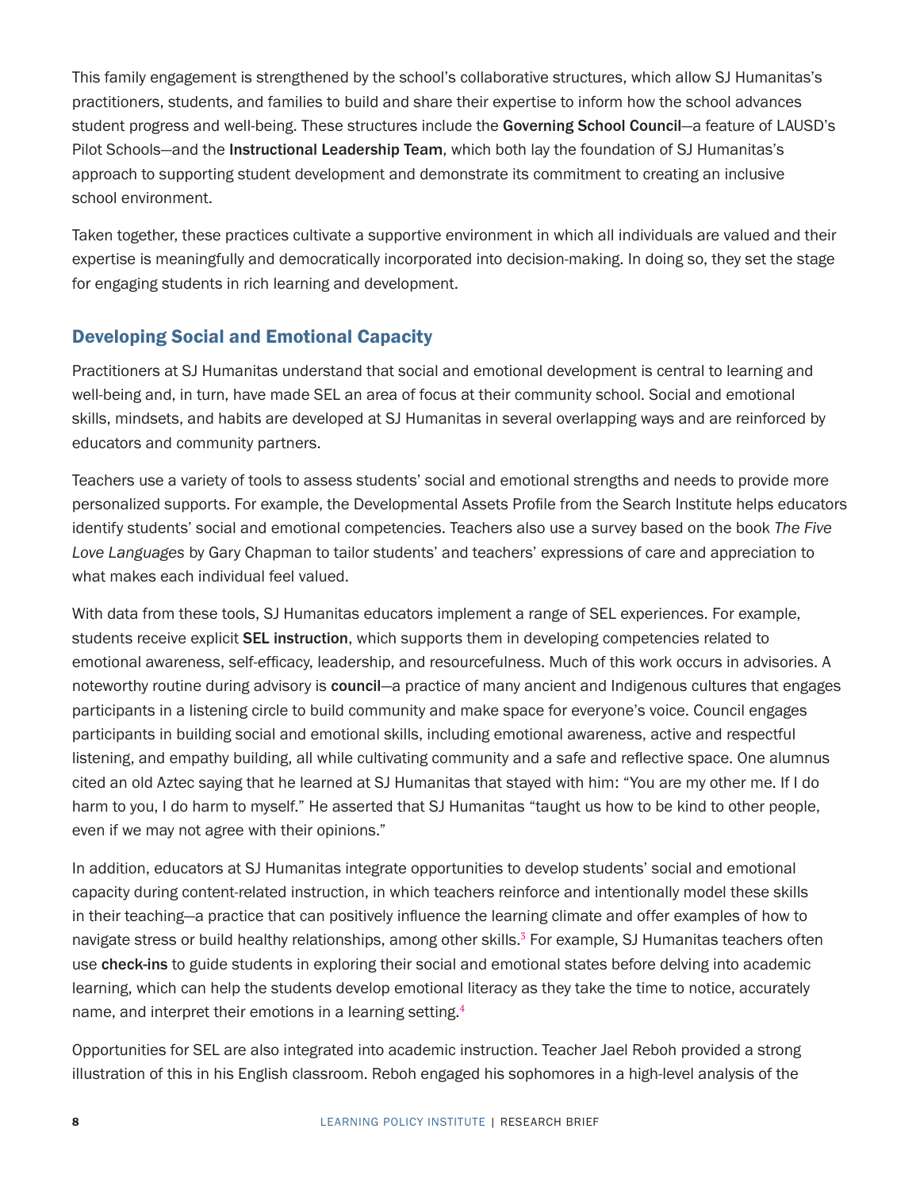<span id="page-7-0"></span>This family engagement is strengthened by the school's collaborative structures, which allow SJ Humanitas's practitioners, students, and families to build and share their expertise to inform how the school advances student progress and well-being. These structures include the Governing School Council—a feature of LAUSD's Pilot Schools—and the Instructional Leadership Team, which both lay the foundation of SJ Humanitas's approach to supporting student development and demonstrate its commitment to creating an inclusive school environment.

Taken together, these practices cultivate a supportive environment in which all individuals are valued and their expertise is meaningfully and democratically incorporated into decision-making. In doing so, they set the stage for engaging students in rich learning and development.

## Developing Social and Emotional Capacity

Practitioners at SJ Humanitas understand that social and emotional development is central to learning and well-being and, in turn, have made SEL an area of focus at their community school. Social and emotional skills, mindsets, and habits are developed at SJ Humanitas in several overlapping ways and are reinforced by educators and community partners.

Teachers use a variety of tools to assess students' social and emotional strengths and needs to provide more personalized supports. For example, the Developmental Assets Profile from the Search Institute helps educators identify students' social and emotional competencies. Teachers also use a survey based on the book *The Five Love Languages* by Gary Chapman to tailor students' and teachers' expressions of care and appreciation to what makes each individual feel valued.

With data from these tools, SJ Humanitas educators implement a range of SEL experiences. For example, students receive explicit **SEL instruction**, which supports them in developing competencies related to emotional awareness, self-efficacy, leadership, and resourcefulness. Much of this work occurs in advisories. A noteworthy routine during advisory is council—a practice of many ancient and Indigenous cultures that engages participants in a listening circle to build community and make space for everyone's voice. Council engages participants in building social and emotional skills, including emotional awareness, active and respectful listening, and empathy building, all while cultivating community and a safe and reflective space. One alumnus cited an old Aztec saying that he learned at SJ Humanitas that stayed with him: "You are my other me. If I do harm to you, I do harm to myself." He asserted that SJ Humanitas "taught us how to be kind to other people, even if we may not agree with their opinions."

In addition, educators at SJ Humanitas integrate opportunities to develop students' social and emotional capacity during content-related instruction, in which teachers reinforce and intentionally model these skills in their teaching—a practice that can positively influence the learning climate and offer examples of how to navigate stress or build healthy relationships, among other skills.<sup>[3](#page-12-0)</sup> For example, SJ Humanitas teachers often use check-ins to guide students in exploring their social and emotional states before delving into academic learning, which can help the students develop emotional literacy as they take the time to notice, accurately name, and interpret their emotions in a learning setting.<sup>[4](#page-12-0)</sup>

Opportunities for SEL are also integrated into academic instruction. Teacher Jael Reboh provided a strong illustration of this in his English classroom. Reboh engaged his sophomores in a high-level analysis of the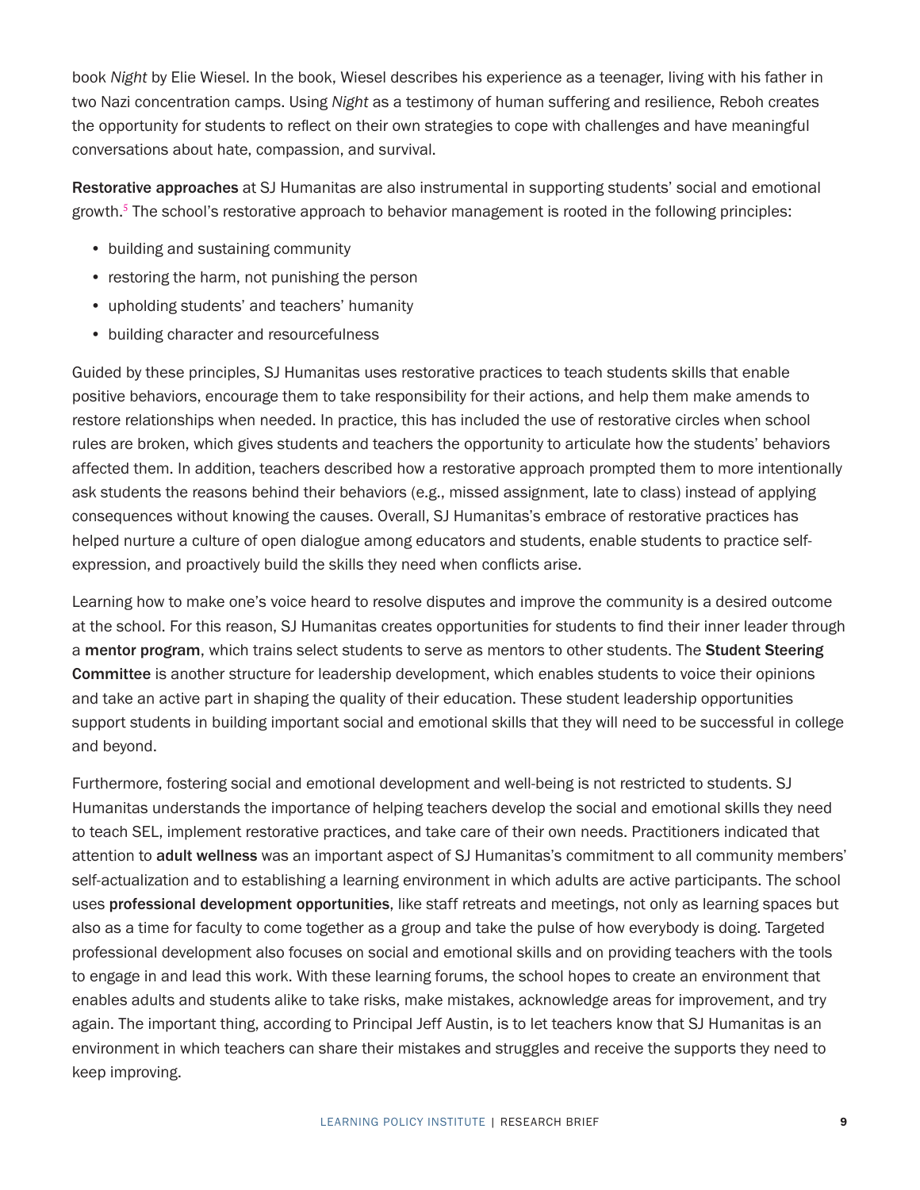<span id="page-8-0"></span>book *Night* by Elie Wiesel. In the book, Wiesel describes his experience as a teenager, living with his father in two Nazi concentration camps. Using *Night* as a testimony of human suffering and resilience, Reboh creates the opportunity for students to reflect on their own strategies to cope with challenges and have meaningful conversations about hate, compassion, and survival.

Restorative approaches at SJ Humanitas are also instrumental in supporting students' social and emotional growth.<sup>[5](#page-12-0)</sup> The school's restorative approach to behavior management is rooted in the following principles:

- building and sustaining community
- restoring the harm, not punishing the person
- upholding students' and teachers' humanity
- building character and resourcefulness

Guided by these principles, SJ Humanitas uses restorative practices to teach students skills that enable positive behaviors, encourage them to take responsibility for their actions, and help them make amends to restore relationships when needed. In practice, this has included the use of restorative circles when school rules are broken, which gives students and teachers the opportunity to articulate how the students' behaviors affected them. In addition, teachers described how a restorative approach prompted them to more intentionally ask students the reasons behind their behaviors (e.g., missed assignment, late to class) instead of applying consequences without knowing the causes. Overall, SJ Humanitas's embrace of restorative practices has helped nurture a culture of open dialogue among educators and students, enable students to practice selfexpression, and proactively build the skills they need when conflicts arise.

Learning how to make one's voice heard to resolve disputes and improve the community is a desired outcome at the school. For this reason, SJ Humanitas creates opportunities for students to find their inner leader through a mentor program, which trains select students to serve as mentors to other students. The Student Steering Committee is another structure for leadership development, which enables students to voice their opinions and take an active part in shaping the quality of their education. These student leadership opportunities support students in building important social and emotional skills that they will need to be successful in college and beyond.

Furthermore, fostering social and emotional development and well-being is not restricted to students. SJ Humanitas understands the importance of helping teachers develop the social and emotional skills they need to teach SEL, implement restorative practices, and take care of their own needs. Practitioners indicated that attention to adult wellness was an important aspect of SJ Humanitas's commitment to all community members' self-actualization and to establishing a learning environment in which adults are active participants. The school uses professional development opportunities, like staff retreats and meetings, not only as learning spaces but also as a time for faculty to come together as a group and take the pulse of how everybody is doing. Targeted professional development also focuses on social and emotional skills and on providing teachers with the tools to engage in and lead this work. With these learning forums, the school hopes to create an environment that enables adults and students alike to take risks, make mistakes, acknowledge areas for improvement, and try again. The important thing, according to Principal Jeff Austin, is to let teachers know that SJ Humanitas is an environment in which teachers can share their mistakes and struggles and receive the supports they need to keep improving.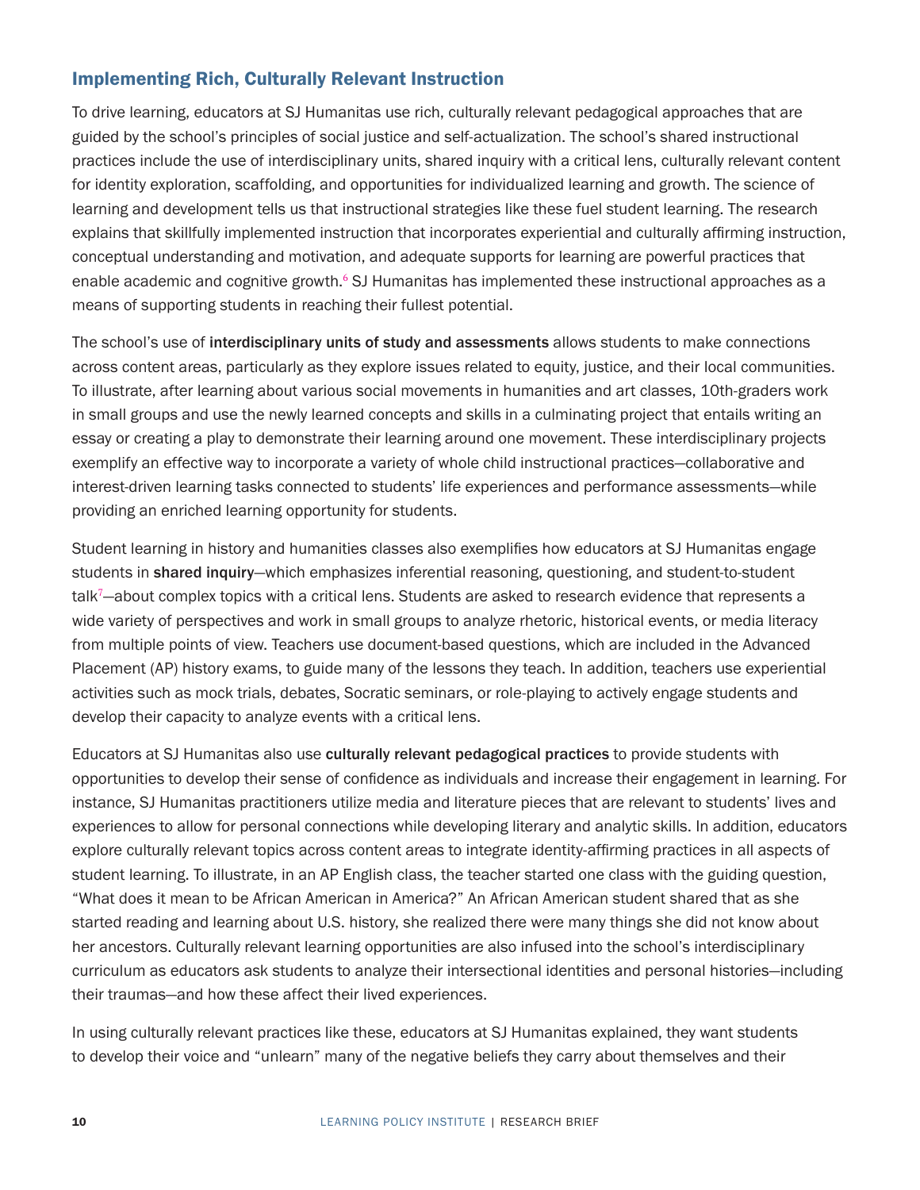### <span id="page-9-0"></span>Implementing Rich, Culturally Relevant Instruction

To drive learning, educators at SJ Humanitas use rich, culturally relevant pedagogical approaches that are guided by the school's principles of social justice and self-actualization. The school's shared instructional practices include the use of interdisciplinary units, shared inquiry with a critical lens, culturally relevant content for identity exploration, scaffolding, and opportunities for individualized learning and growth. The science of learning and development tells us that instructional strategies like these fuel student learning. The research explains that skillfully implemented instruction that incorporates experiential and culturally affirming instruction, conceptual understanding and motivation, and adequate supports for learning are powerful practices that enable academic and cognitive growth.<sup>[6](#page-12-0)</sup> SJ Humanitas has implemented these instructional approaches as a means of supporting students in reaching their fullest potential.

The school's use of interdisciplinary units of study and assessments allows students to make connections across content areas, particularly as they explore issues related to equity, justice, and their local communities. To illustrate, after learning about various social movements in humanities and art classes, 10th-graders work in small groups and use the newly learned concepts and skills in a culminating project that entails writing an essay or creating a play to demonstrate their learning around one movement. These interdisciplinary projects exemplify an effective way to incorporate a variety of whole child instructional practices—collaborative and interest-driven learning tasks connected to students' life experiences and performance assessments—while providing an enriched learning opportunity for students.

Student learning in history and humanities classes also exemplifies how educators at SJ Humanitas engage students in shared inquiry—which emphasizes inferential reasoning, questioning, and student-to-student talk<sup>[7](#page-12-0)</sup>-about complex topics with a critical lens. Students are asked to research evidence that represents a wide variety of perspectives and work in small groups to analyze rhetoric, historical events, or media literacy from multiple points of view. Teachers use document-based questions, which are included in the Advanced Placement (AP) history exams, to guide many of the lessons they teach. In addition, teachers use experiential activities such as mock trials, debates, Socratic seminars, or role-playing to actively engage students and develop their capacity to analyze events with a critical lens.

Educators at SJ Humanitas also use culturally relevant pedagogical practices to provide students with opportunities to develop their sense of confidence as individuals and increase their engagement in learning. For instance, SJ Humanitas practitioners utilize media and literature pieces that are relevant to students' lives and experiences to allow for personal connections while developing literary and analytic skills. In addition, educators explore culturally relevant topics across content areas to integrate identity-affirming practices in all aspects of student learning. To illustrate, in an AP English class, the teacher started one class with the guiding question, "What does it mean to be African American in America?" An African American student shared that as she started reading and learning about U.S. history, she realized there were many things she did not know about her ancestors. Culturally relevant learning opportunities are also infused into the school's interdisciplinary curriculum as educators ask students to analyze their intersectional identities and personal histories—including their traumas—and how these affect their lived experiences.

In using culturally relevant practices like these, educators at SJ Humanitas explained, they want students to develop their voice and "unlearn" many of the negative beliefs they carry about themselves and their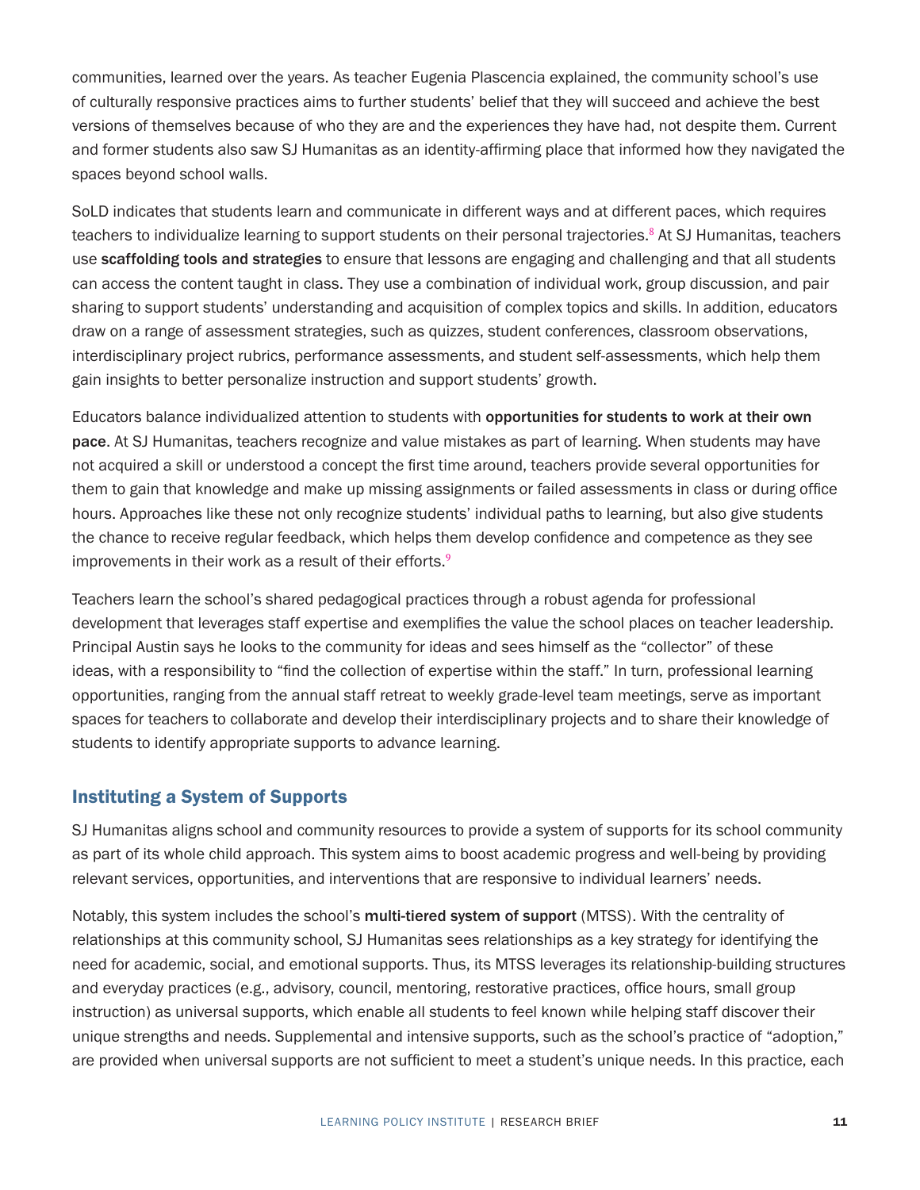<span id="page-10-0"></span>communities, learned over the years. As teacher Eugenia Plascencia explained, the community school's use of culturally responsive practices aims to further students' belief that they will succeed and achieve the best versions of themselves because of who they are and the experiences they have had, not despite them. Current and former students also saw SJ Humanitas as an identity-affirming place that informed how they navigated the spaces beyond school walls.

SoLD indicates that students learn and communicate in different ways and at different paces, which requires teachers to individualize learning to support students on their personal trajectories.<sup>[8](#page-12-0)</sup> At SJ Humanitas, teachers use scaffolding tools and strategies to ensure that lessons are engaging and challenging and that all students can access the content taught in class. They use a combination of individual work, group discussion, and pair sharing to support students' understanding and acquisition of complex topics and skills. In addition, educators draw on a range of assessment strategies, such as quizzes, student conferences, classroom observations, interdisciplinary project rubrics, performance assessments, and student self-assessments, which help them gain insights to better personalize instruction and support students' growth.

Educators balance individualized attention to students with opportunities for students to work at their own pace. At SJ Humanitas, teachers recognize and value mistakes as part of learning. When students may have not acquired a skill or understood a concept the first time around, teachers provide several opportunities for them to gain that knowledge and make up missing assignments or failed assessments in class or during office hours. Approaches like these not only recognize students' individual paths to learning, but also give students the chance to receive regular feedback, which helps them develop confidence and competence as they see improvements in their work as a result of their efforts.<sup>[9](#page-12-0)</sup>

Teachers learn the school's shared pedagogical practices through a robust agenda for professional development that leverages staff expertise and exemplifies the value the school places on teacher leadership. Principal Austin says he looks to the community for ideas and sees himself as the "collector" of these ideas, with a responsibility to "find the collection of expertise within the staff." In turn, professional learning opportunities, ranging from the annual staff retreat to weekly grade-level team meetings, serve as important spaces for teachers to collaborate and develop their interdisciplinary projects and to share their knowledge of students to identify appropriate supports to advance learning.

#### Instituting a System of Supports

SJ Humanitas aligns school and community resources to provide a system of supports for its school community as part of its whole child approach. This system aims to boost academic progress and well-being by providing relevant services, opportunities, and interventions that are responsive to individual learners' needs.

Notably, this system includes the school's multi-tiered system of support (MTSS). With the centrality of relationships at this community school, SJ Humanitas sees relationships as a key strategy for identifying the need for academic, social, and emotional supports. Thus, its MTSS leverages its relationship-building structures and everyday practices (e.g., advisory, council, mentoring, restorative practices, office hours, small group instruction) as universal supports, which enable all students to feel known while helping staff discover their unique strengths and needs. Supplemental and intensive supports, such as the school's practice of "adoption," are provided when universal supports are not sufficient to meet a student's unique needs. In this practice, each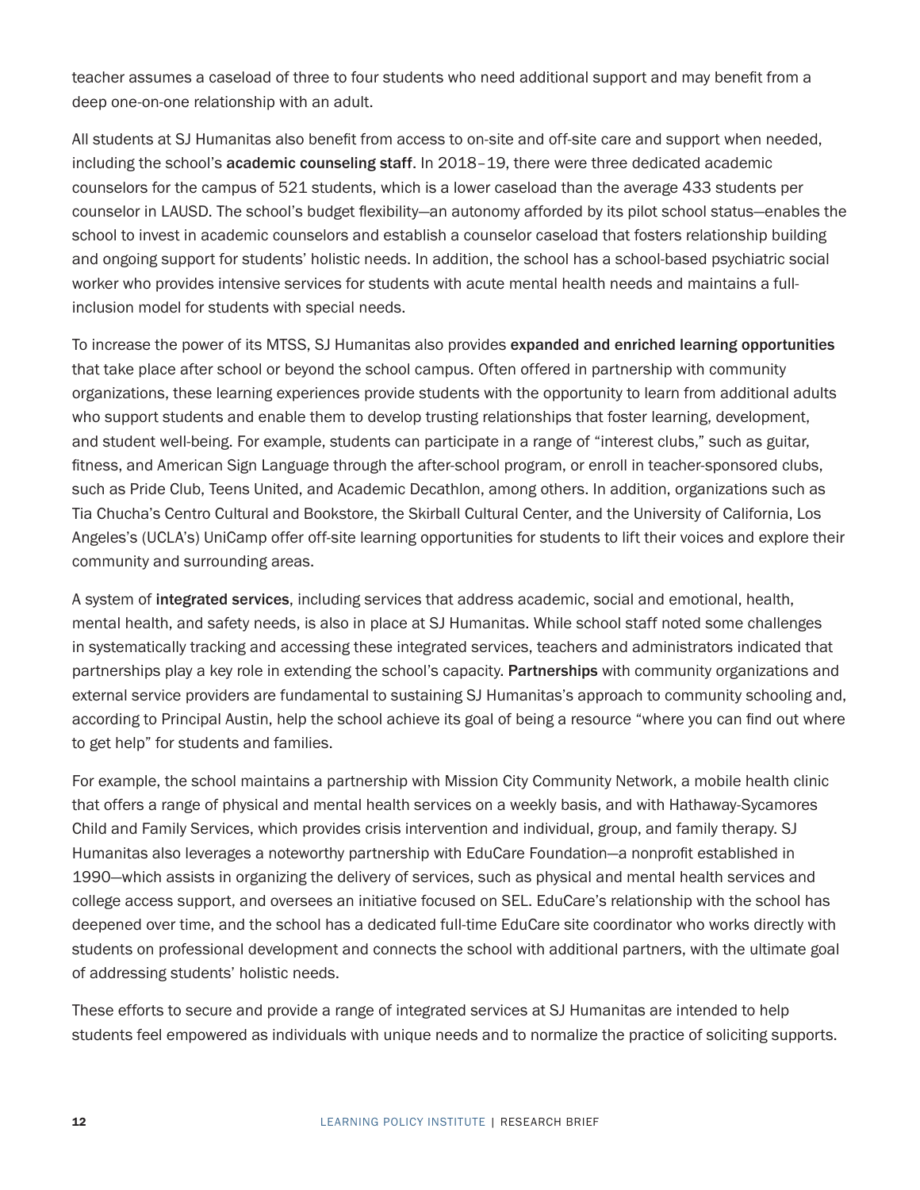teacher assumes a caseload of three to four students who need additional support and may benefit from a deep one-on-one relationship with an adult.

All students at SJ Humanitas also benefit from access to on-site and off-site care and support when needed, including the school's academic counseling staff. In 2018–19, there were three dedicated academic counselors for the campus of 521 students, which is a lower caseload than the average 433 students per counselor in LAUSD. The school's budget flexibility—an autonomy afforded by its pilot school status—enables the school to invest in academic counselors and establish a counselor caseload that fosters relationship building and ongoing support for students' holistic needs. In addition, the school has a school-based psychiatric social worker who provides intensive services for students with acute mental health needs and maintains a fullinclusion model for students with special needs.

To increase the power of its MTSS, SJ Humanitas also provides expanded and enriched learning opportunities that take place after school or beyond the school campus. Often offered in partnership with community organizations, these learning experiences provide students with the opportunity to learn from additional adults who support students and enable them to develop trusting relationships that foster learning, development, and student well-being. For example, students can participate in a range of "interest clubs," such as guitar, fitness, and American Sign Language through the after-school program, or enroll in teacher-sponsored clubs, such as Pride Club, Teens United, and Academic Decathlon, among others. In addition, organizations such as Tia Chucha's Centro Cultural and Bookstore, the Skirball Cultural Center, and the University of California, Los Angeles's (UCLA's) UniCamp offer off-site learning opportunities for students to lift their voices and explore their community and surrounding areas.

A system of integrated services, including services that address academic, social and emotional, health, mental health, and safety needs, is also in place at SJ Humanitas. While school staff noted some challenges in systematically tracking and accessing these integrated services, teachers and administrators indicated that partnerships play a key role in extending the school's capacity. Partnerships with community organizations and external service providers are fundamental to sustaining SJ Humanitas's approach to community schooling and, according to Principal Austin, help the school achieve its goal of being a resource "where you can find out where to get help" for students and families.

For example, the school maintains a partnership with Mission City Community Network, a mobile health clinic that offers a range of physical and mental health services on a weekly basis, and with Hathaway-Sycamores Child and Family Services, which provides crisis intervention and individual, group, and family therapy. SJ Humanitas also leverages a noteworthy partnership with EduCare Foundation—a nonprofit established in 1990—which assists in organizing the delivery of services, such as physical and mental health services and college access support, and oversees an initiative focused on SEL. EduCare's relationship with the school has deepened over time, and the school has a dedicated full-time EduCare site coordinator who works directly with students on professional development and connects the school with additional partners, with the ultimate goal of addressing students' holistic needs.

These efforts to secure and provide a range of integrated services at SJ Humanitas are intended to help students feel empowered as individuals with unique needs and to normalize the practice of soliciting supports.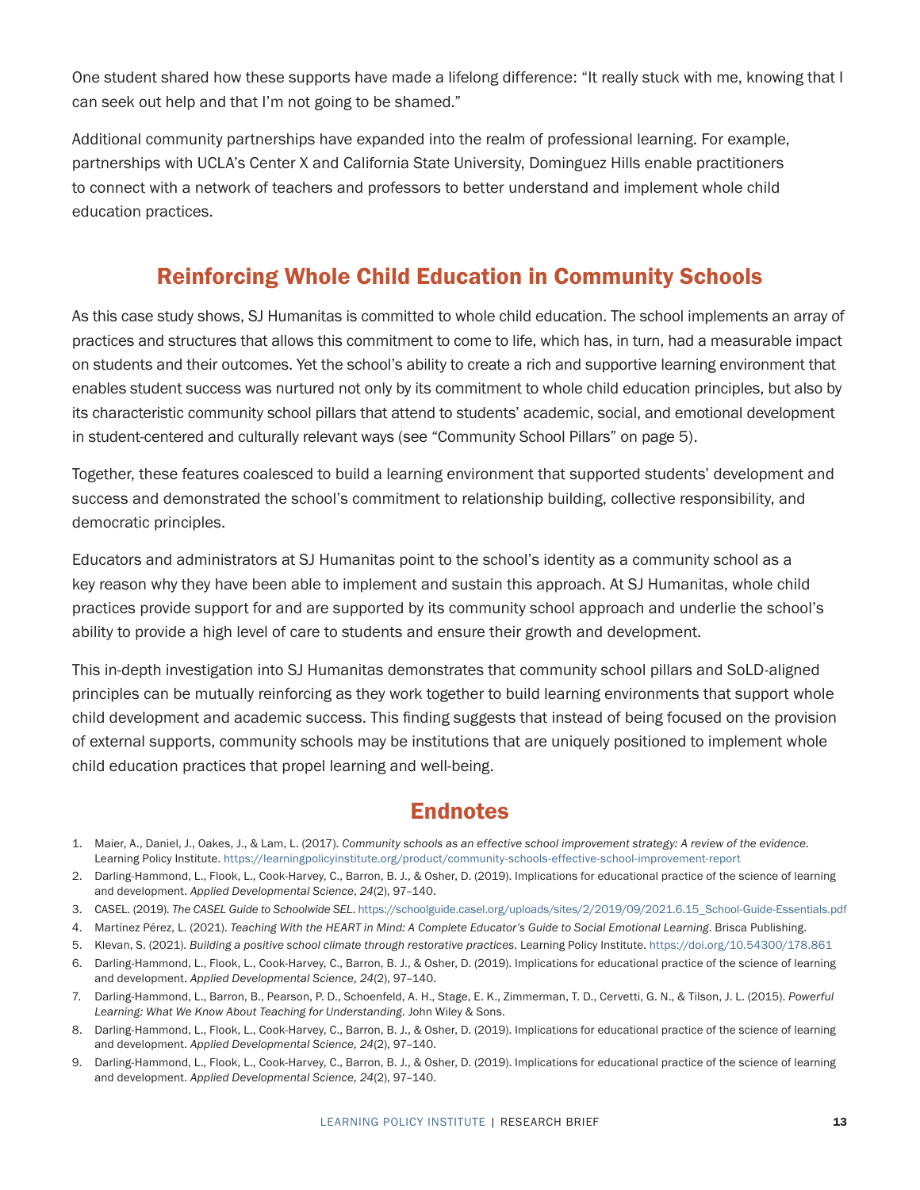<span id="page-12-0"></span>One student shared how these supports have made a lifelong difference: "It really stuck with me, knowing that I can seek out help and that I'm not going to be shamed."

Additional community partnerships have expanded into the realm of professional learning. For example, partnerships with UCLA's Center X and California State University, Dominguez Hills enable practitioners to connect with a network of teachers and professors to better understand and implement whole child education practices.

# Reinforcing Whole Child Education in Community Schools

As this case study shows, SJ Humanitas is committed to whole child education. The school implements an array of practices and structures that allows this commitment to come to life, which has, in turn, had a measurable impact on students and their outcomes. Yet the school's ability to create a rich and supportive learning environment that enables student success was nurtured not only by its commitment to whole child education principles, but also by its characteristic community school pillars that attend to students' academic, social, and emotional development in student-centered and culturally relevant ways (see ["Community School Pillars" on page 5](#page-4-0)).

Together, these features coalesced to build a learning environment that supported students' development and success and demonstrated the school's commitment to relationship building, collective responsibility, and democratic principles.

Educators and administrators at SJ Humanitas point to the school's identity as a community school as a key reason why they have been able to implement and sustain this approach. At SJ Humanitas, whole child practices provide support for and are supported by its community school approach and underlie the school's ability to provide a high level of care to students and ensure their growth and development.

This in-depth investigation into SJ Humanitas demonstrates that community school pillars and SoLD-aligned principles can be mutually reinforcing as they work together to build learning environments that support whole child development and academic success. This finding suggests that instead of being focused on the provision of external supports, community schools may be institutions that are uniquely positioned to implement whole child education practices that propel learning and well-being.

# **Endnotes**

- [1.](#page-3-0) Maier, A., Daniel, J., Oakes, J., & Lam, L. (2017). *Community schools as an effective school improvement strategy: A review of the evidence*. Learning Policy Institute. <https://learningpolicyinstitute.org/product/community-schools-effective-school-improvement-report>
- [2.](#page-4-1) Darling-Hammond, L., Flook, L., Cook-Harvey, C., Barron, B. J., & Osher, D. (2019). Implications for educational practice of the science of learning and development. *Applied Developmental Science*, *24*(2), 97–140.
- [3.](#page-7-0) CASEL. (2019). *The CASEL Guide to Schoolwide SEL*. [https://schoolguide.casel.org/uploads/sites/2/2019/09/2021.6.15\\_School-Guide-Essentials.pdf](https://schoolguide.casel.org/uploads/sites/2/2019/09/2021.6.15_School-Guide-Essentials.pdf)
- [4.](#page-7-0) Martínez Pérez, L. (2021). *Teaching With the HEART in Mind: A Complete Educator's Guide to Social Emotional Learning*. Brisca Publishing.
- [5.](#page-8-0) Klevan, S. (2021). *Building a positive school climate through restorative practices*. Learning Policy Institute.<https://doi.org/10.54300/178.861>
- [6.](#page-9-0) Darling-Hammond, L., Flook, L., Cook-Harvey, C., Barron, B. J., & Osher, D. (2019). Implications for educational practice of the science of learning and development. *Applied Developmental Science, 24*(2), 97–140.
- [7.](#page-9-0) Darling-Hammond, L., Barron, B., Pearson, P. D., Schoenfeld, A. H., Stage, E. K., Zimmerman, T. D., Cervetti, G. N., & Tilson, J. L. (2015). *Powerful Learning: What We Know About Teaching for Understanding.* John Wiley & Sons.
- [8.](#page-10-0) Darling-Hammond, L., Flook, L., Cook-Harvey, C., Barron, B. J., & Osher, D. (2019). Implications for educational practice of the science of learning and development. *Applied Developmental Science, 24*(2), 97–140.
- [9.](#page-10-0) Darling-Hammond, L., Flook, L., Cook-Harvey, C., Barron, B. J., & Osher, D. (2019). Implications for educational practice of the science of learning and development. *Applied Developmental Science, 24*(2), 97–140.